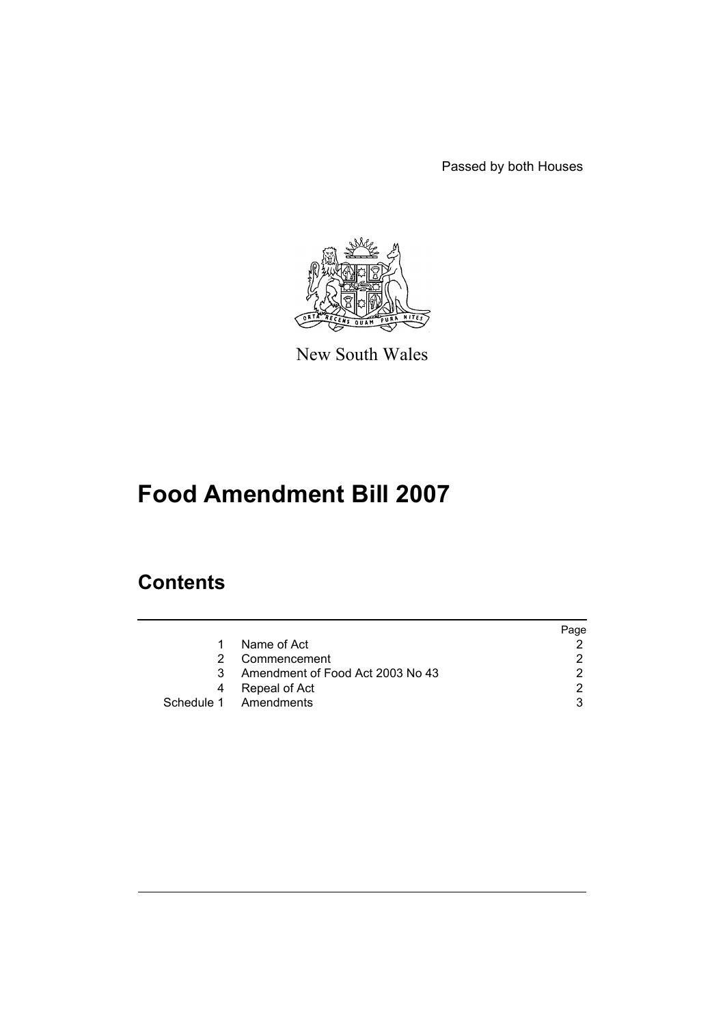Passed by both Houses



New South Wales

# **Food Amendment Bill 2007**

# **Contents**

|   |                                  | Page |
|---|----------------------------------|------|
|   | Name of Act                      |      |
|   | Commencement                     |      |
| 3 | Amendment of Food Act 2003 No 43 |      |
|   | Repeal of Act                    |      |
|   | Schedule 1 Amendments            |      |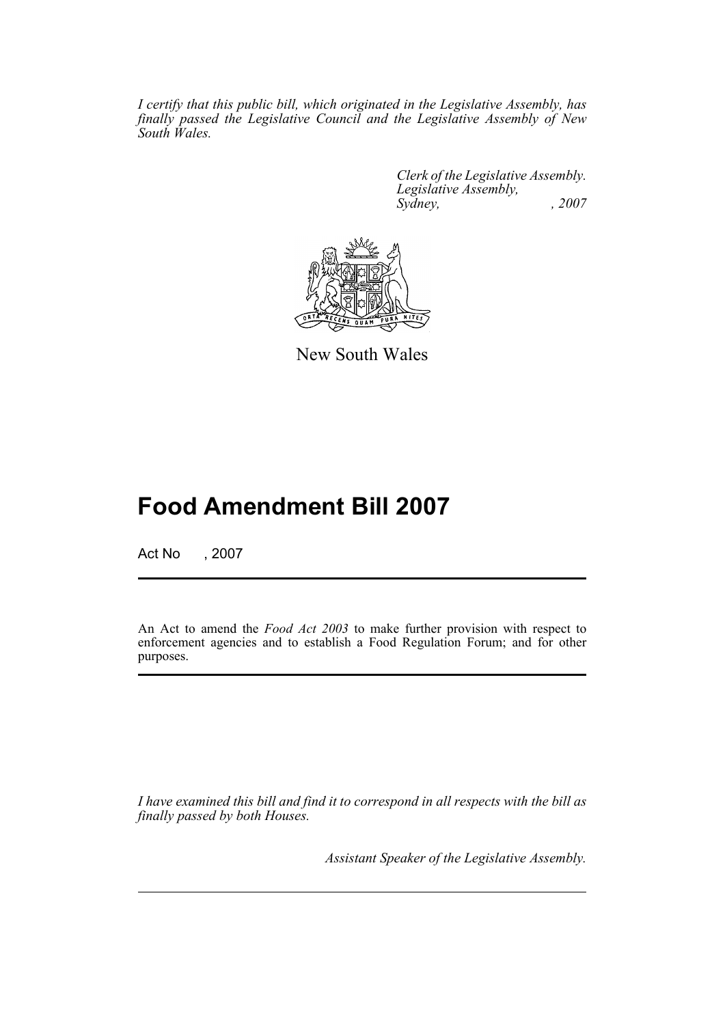*I certify that this public bill, which originated in the Legislative Assembly, has finally passed the Legislative Council and the Legislative Assembly of New South Wales.*

> *Clerk of the Legislative Assembly. Legislative Assembly, Sydney, , 2007*



New South Wales

# **Food Amendment Bill 2007**

Act No , 2007

An Act to amend the *Food Act 2003* to make further provision with respect to enforcement agencies and to establish a Food Regulation Forum; and for other purposes.

*I have examined this bill and find it to correspond in all respects with the bill as finally passed by both Houses.*

*Assistant Speaker of the Legislative Assembly.*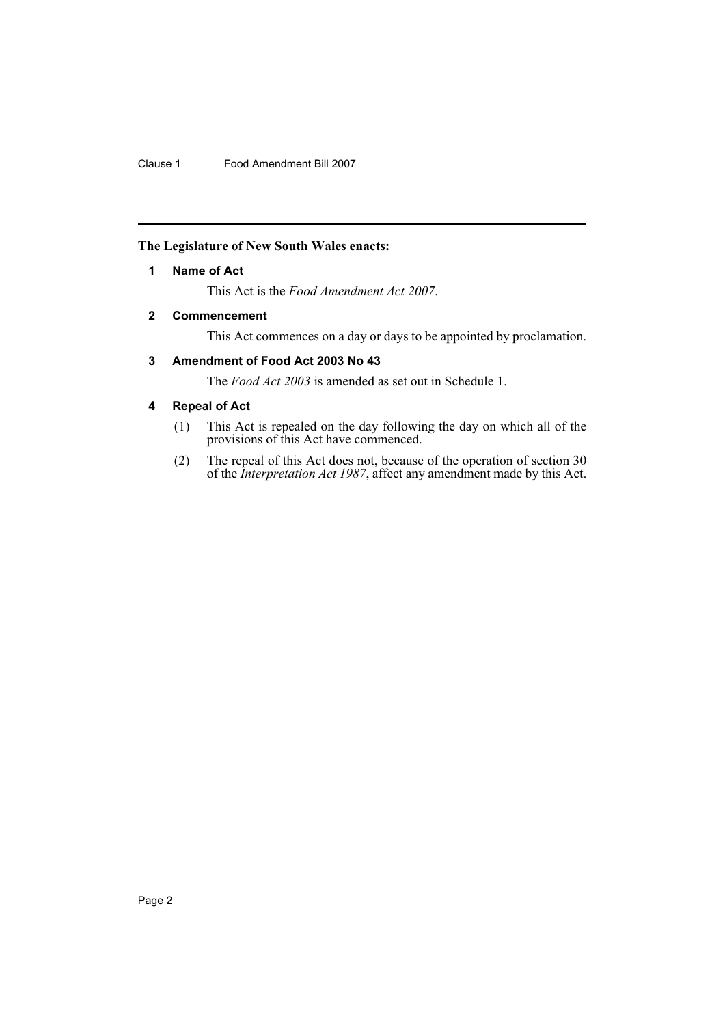# <span id="page-2-0"></span>**The Legislature of New South Wales enacts:**

# **1 Name of Act**

This Act is the *Food Amendment Act 2007*.

# <span id="page-2-1"></span>**2 Commencement**

This Act commences on a day or days to be appointed by proclamation.

# <span id="page-2-2"></span>**3 Amendment of Food Act 2003 No 43**

The *Food Act 2003* is amended as set out in Schedule 1.

# <span id="page-2-3"></span>**4 Repeal of Act**

- (1) This Act is repealed on the day following the day on which all of the provisions of this Act have commenced.
- (2) The repeal of this Act does not, because of the operation of section 30 of the *Interpretation Act 1987*, affect any amendment made by this Act.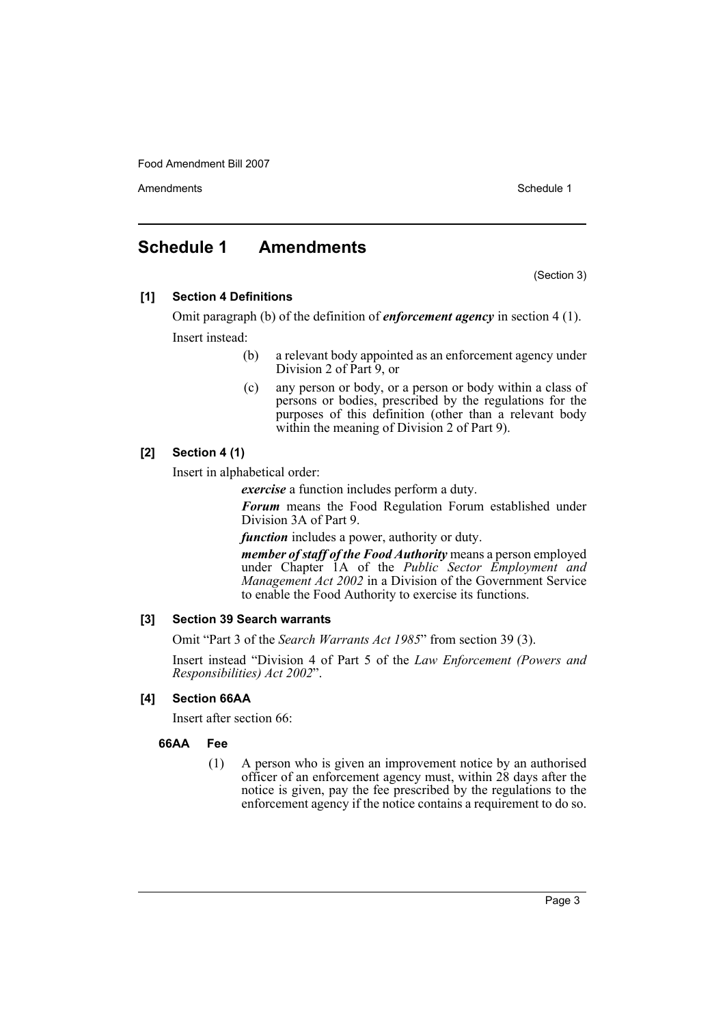Amendments **Schedule 1** and the set of the set of the set of the set of the set of the set of the set of the set of the set of the set of the set of the set of the set of the set of the set of the set of the set of the set

# <span id="page-3-0"></span>**Schedule 1 Amendments**

(Section 3)

**[1] Section 4 Definitions**

Omit paragraph (b) of the definition of *enforcement agency* in section 4 (1). Insert instead:

- (b) a relevant body appointed as an enforcement agency under Division 2 of Part 9, or
- (c) any person or body, or a person or body within a class of persons or bodies, prescribed by the regulations for the purposes of this definition (other than a relevant body within the meaning of Division 2 of Part 9).

# **[2] Section 4 (1)**

Insert in alphabetical order:

*exercise* a function includes perform a duty.

*Forum* means the Food Regulation Forum established under Division 3A of Part 9.

*function* includes a power, authority or duty.

*member of staff of the Food Authority* means a person employed under Chapter 1A of the *Public Sector Employment and Management Act 2002* in a Division of the Government Service to enable the Food Authority to exercise its functions.

# **[3] Section 39 Search warrants**

Omit "Part 3 of the *Search Warrants Act 1985*" from section 39 (3).

Insert instead "Division 4 of Part 5 of the *Law Enforcement (Powers and Responsibilities) Act 2002*".

# **[4] Section 66AA**

Insert after section 66:

# **66AA Fee**

(1) A person who is given an improvement notice by an authorised officer of an enforcement agency must, within 28 days after the notice is given, pay the fee prescribed by the regulations to the enforcement agency if the notice contains a requirement to do so.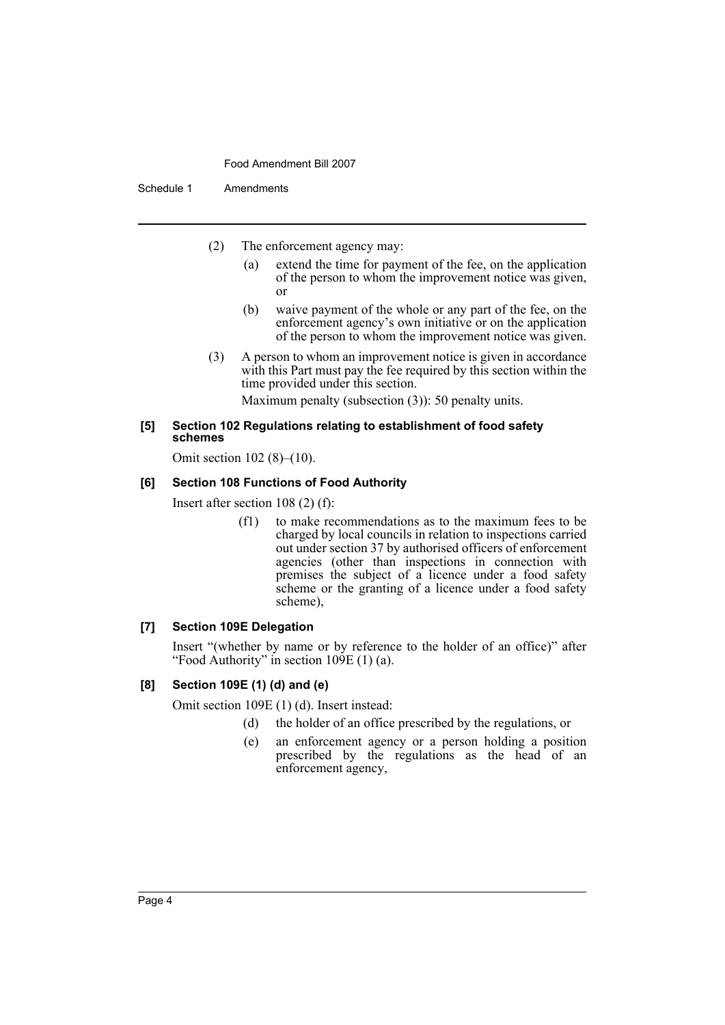Schedule 1 Amendments

- (2) The enforcement agency may:
	- (a) extend the time for payment of the fee, on the application of the person to whom the improvement notice was given, or
	- (b) waive payment of the whole or any part of the fee, on the enforcement agency's own initiative or on the application of the person to whom the improvement notice was given.
- (3) A person to whom an improvement notice is given in accordance with this Part must pay the fee required by this section within the time provided under this section.

Maximum penalty (subsection (3)): 50 penalty units.

#### **[5] Section 102 Regulations relating to establishment of food safety schemes**

Omit section 102 (8)–(10).

#### **[6] Section 108 Functions of Food Authority**

Insert after section 108 (2) (f):

(f1) to make recommendations as to the maximum fees to be charged by local councils in relation to inspections carried out under section 37 by authorised officers of enforcement agencies (other than inspections in connection with premises the subject of a licence under a food safety scheme or the granting of a licence under a food safety scheme),

#### **[7] Section 109E Delegation**

Insert "(whether by name or by reference to the holder of an office)" after "Food Authority" in section  $10\overline{9}E(1)$  (a).

# **[8] Section 109E (1) (d) and (e)**

Omit section 109E (1) (d). Insert instead:

- (d) the holder of an office prescribed by the regulations, or
- (e) an enforcement agency or a person holding a position prescribed by the regulations as the head of an enforcement agency,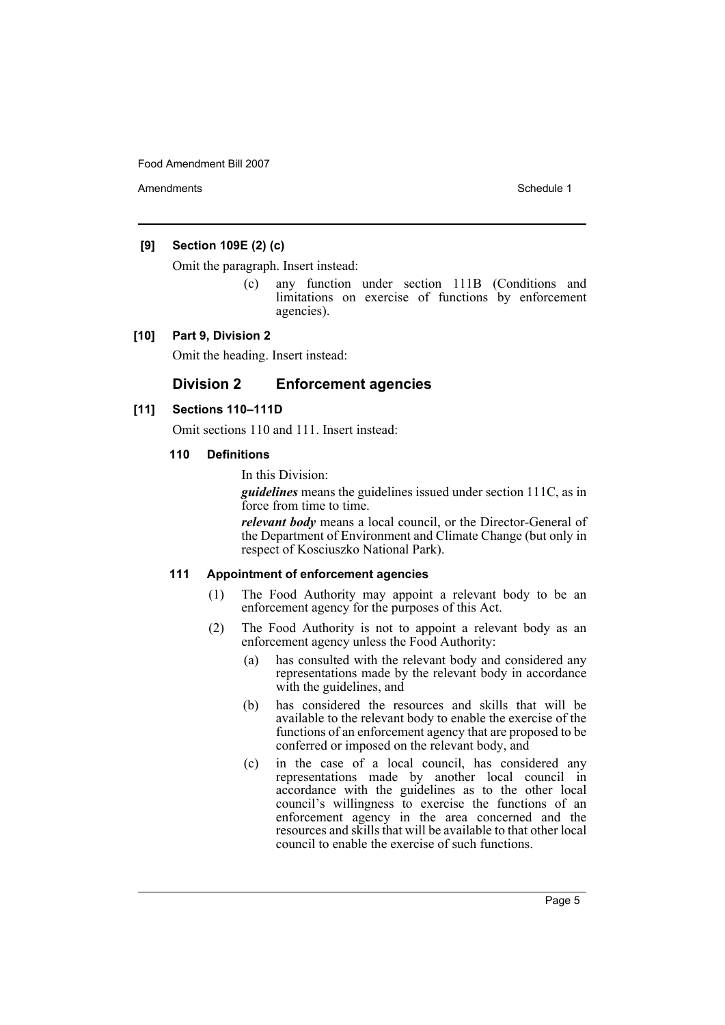Amendments **Amendments** Schedule 1

# **[9] Section 109E (2) (c)**

Omit the paragraph. Insert instead:

(c) any function under section 111B (Conditions and limitations on exercise of functions by enforcement agencies).

#### **[10] Part 9, Division 2**

Omit the heading. Insert instead:

# **Division 2 Enforcement agencies**

#### **[11] Sections 110–111D**

Omit sections 110 and 111. Insert instead:

#### **110 Definitions**

In this Division:

*guidelines* means the guidelines issued under section 111C, as in force from time to time.

*relevant body* means a local council, or the Director-General of the Department of Environment and Climate Change (but only in respect of Kosciuszko National Park).

#### **111 Appointment of enforcement agencies**

- (1) The Food Authority may appoint a relevant body to be an enforcement agency for the purposes of this Act.
- (2) The Food Authority is not to appoint a relevant body as an enforcement agency unless the Food Authority:
	- (a) has consulted with the relevant body and considered any representations made by the relevant body in accordance with the guidelines, and
	- (b) has considered the resources and skills that will be available to the relevant body to enable the exercise of the functions of an enforcement agency that are proposed to be conferred or imposed on the relevant body, and
	- (c) in the case of a local council, has considered any representations made by another local council in accordance with the guidelines as to the other local council's willingness to exercise the functions of an enforcement agency in the area concerned and the resources and skills that will be available to that other local council to enable the exercise of such functions.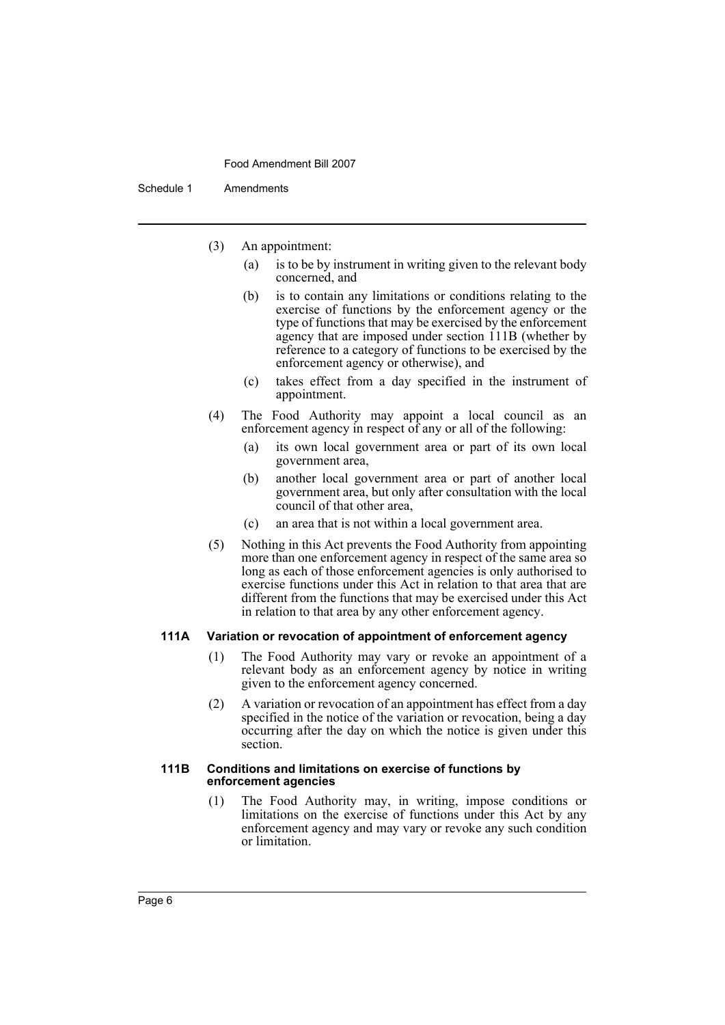Schedule 1 Amendments

- (3) An appointment:
	- (a) is to be by instrument in writing given to the relevant body concerned, and
	- (b) is to contain any limitations or conditions relating to the exercise of functions by the enforcement agency or the type of functions that may be exercised by the enforcement agency that are imposed under section 111B (whether by reference to a category of functions to be exercised by the enforcement agency or otherwise), and
	- (c) takes effect from a day specified in the instrument of appointment.
- (4) The Food Authority may appoint a local council as an enforcement agency in respect of any or all of the following:
	- (a) its own local government area or part of its own local government area,
	- (b) another local government area or part of another local government area, but only after consultation with the local council of that other area,
	- (c) an area that is not within a local government area.
- (5) Nothing in this Act prevents the Food Authority from appointing more than one enforcement agency in respect of the same area so long as each of those enforcement agencies is only authorised to exercise functions under this Act in relation to that area that are different from the functions that may be exercised under this Act in relation to that area by any other enforcement agency.

#### **111A Variation or revocation of appointment of enforcement agency**

- (1) The Food Authority may vary or revoke an appointment of a relevant body as an enforcement agency by notice in writing given to the enforcement agency concerned.
- (2) A variation or revocation of an appointment has effect from a day specified in the notice of the variation or revocation, being a day occurring after the day on which the notice is given under this section.

#### **111B Conditions and limitations on exercise of functions by enforcement agencies**

(1) The Food Authority may, in writing, impose conditions or limitations on the exercise of functions under this Act by any enforcement agency and may vary or revoke any such condition or limitation.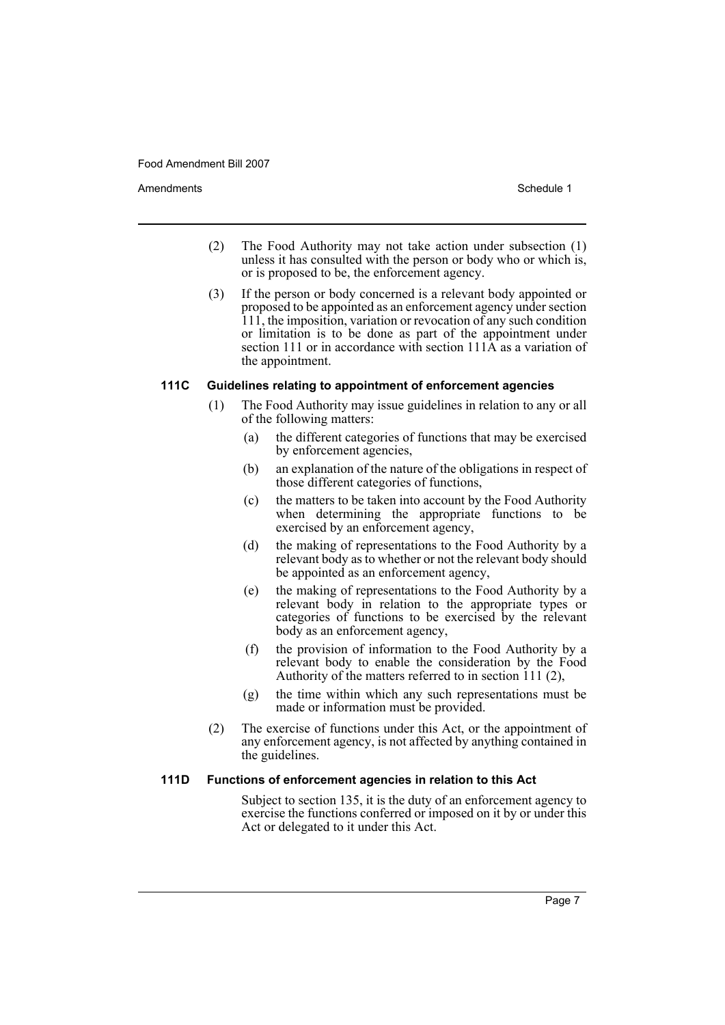Amendments **Amendments** Schedule 1

- (2) The Food Authority may not take action under subsection (1) unless it has consulted with the person or body who or which is, or is proposed to be, the enforcement agency.
- (3) If the person or body concerned is a relevant body appointed or proposed to be appointed as an enforcement agency under section 111, the imposition, variation or revocation of any such condition or limitation is to be done as part of the appointment under section 111 or in accordance with section 111A as a variation of the appointment.

#### **111C Guidelines relating to appointment of enforcement agencies**

- (1) The Food Authority may issue guidelines in relation to any or all of the following matters:
	- (a) the different categories of functions that may be exercised by enforcement agencies,
	- (b) an explanation of the nature of the obligations in respect of those different categories of functions,
	- (c) the matters to be taken into account by the Food Authority when determining the appropriate functions to be exercised by an enforcement agency,
	- (d) the making of representations to the Food Authority by a relevant body as to whether or not the relevant body should be appointed as an enforcement agency,
	- (e) the making of representations to the Food Authority by a relevant body in relation to the appropriate types or categories of functions to be exercised by the relevant body as an enforcement agency,
	- (f) the provision of information to the Food Authority by a relevant body to enable the consideration by the Food Authority of the matters referred to in section 111 (2),
	- (g) the time within which any such representations must be made or information must be provided.
- (2) The exercise of functions under this Act, or the appointment of any enforcement agency, is not affected by anything contained in the guidelines.

#### **111D Functions of enforcement agencies in relation to this Act**

Subject to section 135, it is the duty of an enforcement agency to exercise the functions conferred or imposed on it by or under this Act or delegated to it under this Act.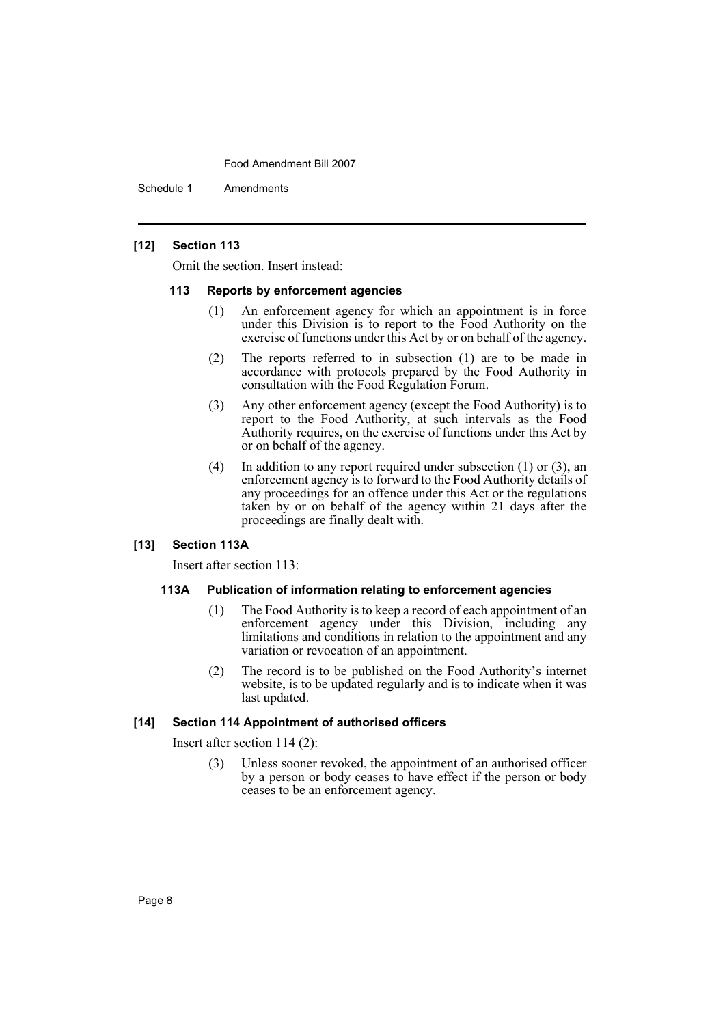Schedule 1 Amendments

#### **[12] Section 113**

Omit the section. Insert instead:

#### **113 Reports by enforcement agencies**

- (1) An enforcement agency for which an appointment is in force under this Division is to report to the Food Authority on the exercise of functions under this Act by or on behalf of the agency.
- (2) The reports referred to in subsection (1) are to be made in accordance with protocols prepared by the Food Authority in consultation with the Food Regulation Forum.
- (3) Any other enforcement agency (except the Food Authority) is to report to the Food Authority, at such intervals as the Food Authority requires, on the exercise of functions under this Act by or on behalf of the agency.
- (4) In addition to any report required under subsection (1) or (3), an enforcement agency is to forward to the Food Authority details of any proceedings for an offence under this Act or the regulations taken by or on behalf of the agency within 21 days after the proceedings are finally dealt with.

# **[13] Section 113A**

Insert after section 113:

#### **113A Publication of information relating to enforcement agencies**

- (1) The Food Authority is to keep a record of each appointment of an enforcement agency under this Division, including any limitations and conditions in relation to the appointment and any variation or revocation of an appointment.
- (2) The record is to be published on the Food Authority's internet website, is to be updated regularly and is to indicate when it was last updated.

#### **[14] Section 114 Appointment of authorised officers**

Insert after section 114 (2):

(3) Unless sooner revoked, the appointment of an authorised officer by a person or body ceases to have effect if the person or body ceases to be an enforcement agency.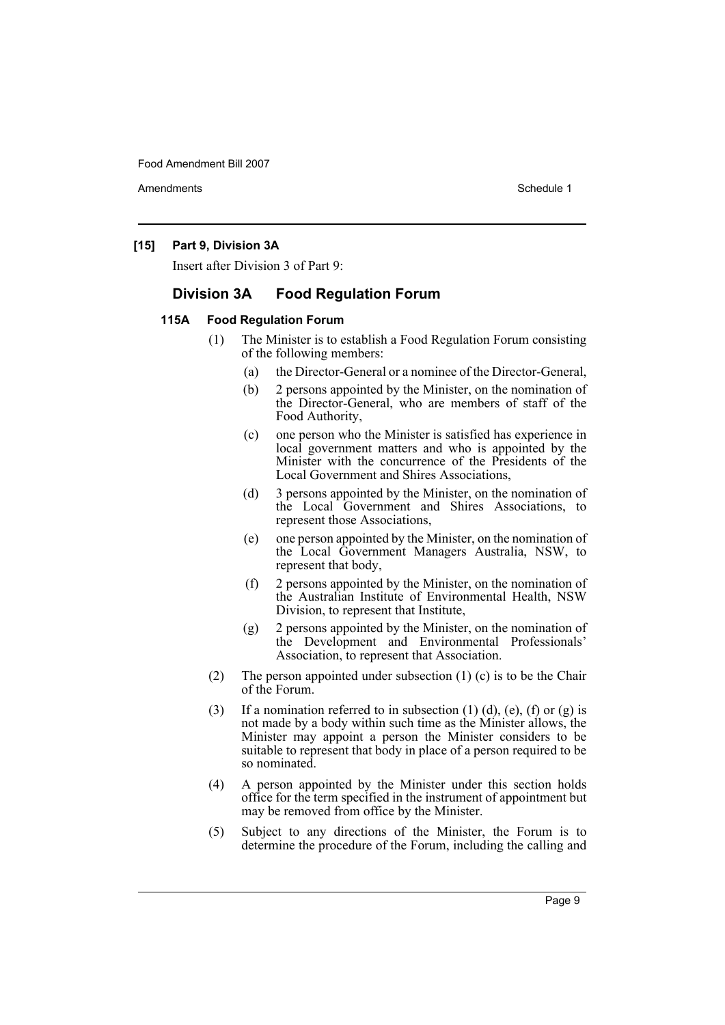Amendments **Amendments** Schedule 1

#### **[15] Part 9, Division 3A**

Insert after Division 3 of Part 9:

# **Division 3A Food Regulation Forum**

#### **115A Food Regulation Forum**

- (1) The Minister is to establish a Food Regulation Forum consisting of the following members:
	- (a) the Director-General or a nominee of the Director-General,
	- (b) 2 persons appointed by the Minister, on the nomination of the Director-General, who are members of staff of the Food Authority,
	- (c) one person who the Minister is satisfied has experience in local government matters and who is appointed by the Minister with the concurrence of the Presidents of the Local Government and Shires Associations,
	- (d) 3 persons appointed by the Minister, on the nomination of the Local Government and Shires Associations, to represent those Associations,
	- (e) one person appointed by the Minister, on the nomination of the Local Government Managers Australia, NSW, to represent that body,
	- (f) 2 persons appointed by the Minister, on the nomination of the Australian Institute of Environmental Health, NSW Division, to represent that Institute,
	- (g) 2 persons appointed by the Minister, on the nomination of the Development and Environmental Professionals' Association, to represent that Association.
- (2) The person appointed under subsection (1) (c) is to be the Chair of the Forum.
- (3) If a nomination referred to in subsection (1) (d), (e), (f) or (g) is not made by a body within such time as the Minister allows, the Minister may appoint a person the Minister considers to be suitable to represent that body in place of a person required to be so nominated.
- (4) A person appointed by the Minister under this section holds office for the term specified in the instrument of appointment but may be removed from office by the Minister.
- (5) Subject to any directions of the Minister, the Forum is to determine the procedure of the Forum, including the calling and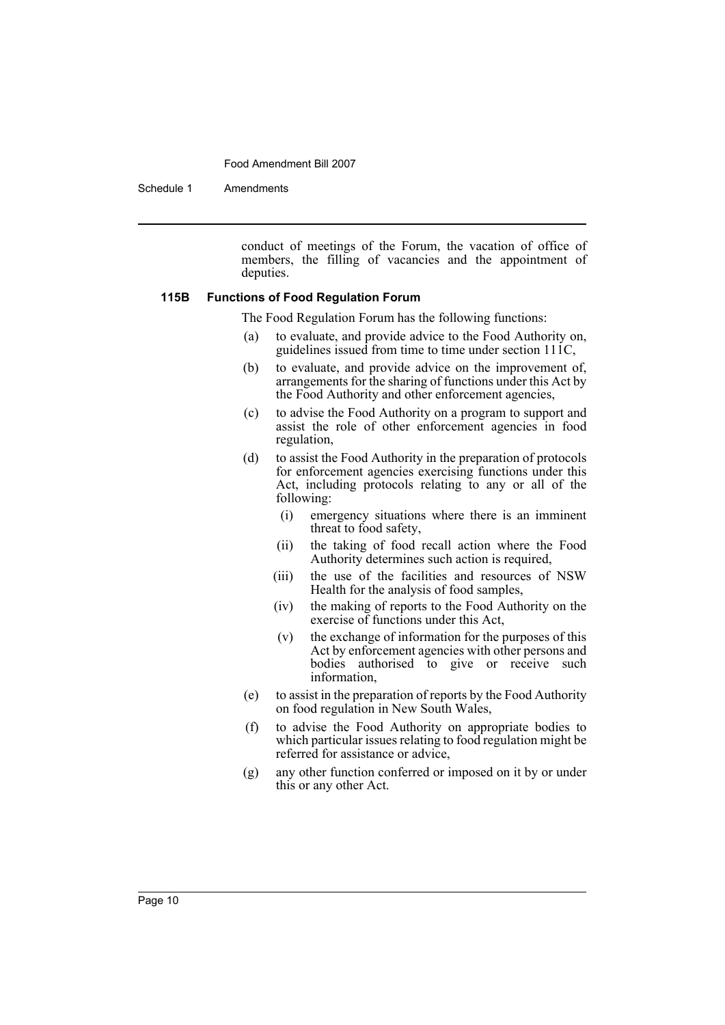Schedule 1 Amendments

conduct of meetings of the Forum, the vacation of office of members, the filling of vacancies and the appointment of deputies.

#### **115B Functions of Food Regulation Forum**

The Food Regulation Forum has the following functions:

- (a) to evaluate, and provide advice to the Food Authority on, guidelines issued from time to time under section 111C,
- (b) to evaluate, and provide advice on the improvement of, arrangements for the sharing of functions under this Act by the Food Authority and other enforcement agencies,
- (c) to advise the Food Authority on a program to support and assist the role of other enforcement agencies in food regulation,
- (d) to assist the Food Authority in the preparation of protocols for enforcement agencies exercising functions under this Act, including protocols relating to any or all of the following:
	- (i) emergency situations where there is an imminent threat to food safety,
	- (ii) the taking of food recall action where the Food Authority determines such action is required,
	- (iii) the use of the facilities and resources of NSW Health for the analysis of food samples,
	- (iv) the making of reports to the Food Authority on the exercise of functions under this Act,
	- (v) the exchange of information for the purposes of this Act by enforcement agencies with other persons and bodies authorised to give or receive such information,
- (e) to assist in the preparation of reports by the Food Authority on food regulation in New South Wales,
- (f) to advise the Food Authority on appropriate bodies to which particular issues relating to food regulation might be referred for assistance or advice,
- (g) any other function conferred or imposed on it by or under this or any other Act.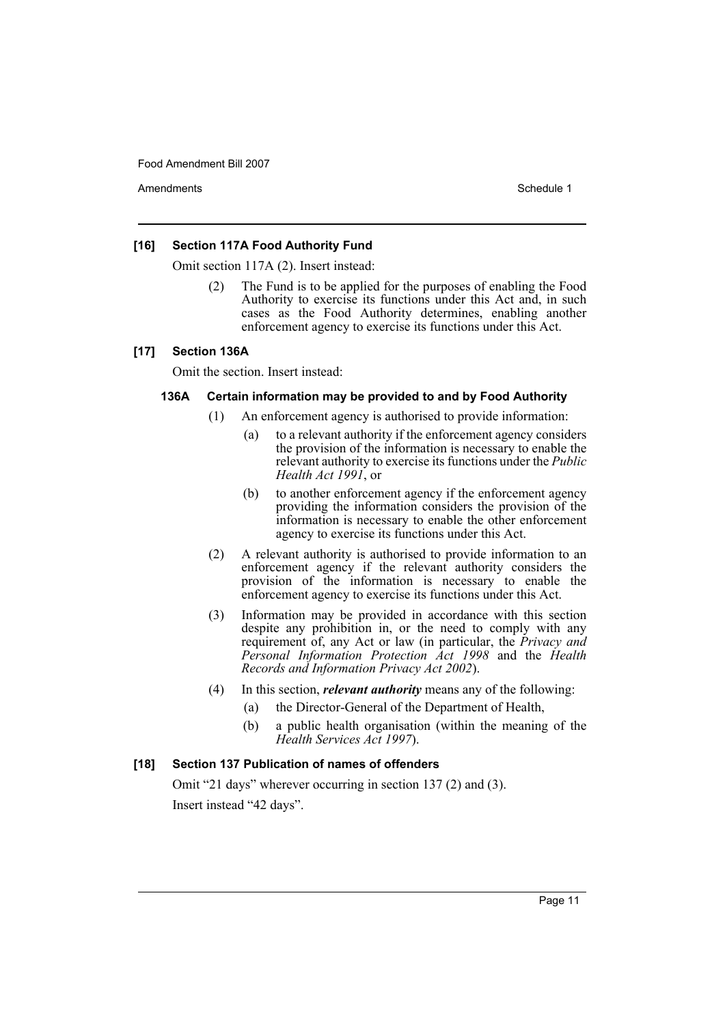Amendments **Amendments** Schedule 1

#### **[16] Section 117A Food Authority Fund**

Omit section 117A (2). Insert instead:

The Fund is to be applied for the purposes of enabling the Food Authority to exercise its functions under this Act and, in such cases as the Food Authority determines, enabling another enforcement agency to exercise its functions under this Act.

#### **[17] Section 136A**

Omit the section. Insert instead:

#### **136A Certain information may be provided to and by Food Authority**

- (1) An enforcement agency is authorised to provide information:
	- (a) to a relevant authority if the enforcement agency considers the provision of the information is necessary to enable the relevant authority to exercise its functions under the *Public Health Act 1991*, or
	- (b) to another enforcement agency if the enforcement agency providing the information considers the provision of the information is necessary to enable the other enforcement agency to exercise its functions under this Act.
- (2) A relevant authority is authorised to provide information to an enforcement agency if the relevant authority considers the provision of the information is necessary to enable the enforcement agency to exercise its functions under this Act.
- (3) Information may be provided in accordance with this section despite any prohibition in, or the need to comply with any requirement of, any Act or law (in particular, the *Privacy and Personal Information Protection Act 1998* and the *Health Records and Information Privacy Act 2002*).
- (4) In this section, *relevant authority* means any of the following:
	- (a) the Director-General of the Department of Health,
	- (b) a public health organisation (within the meaning of the *Health Services Act 1997*).

# **[18] Section 137 Publication of names of offenders**

Omit "21 days" wherever occurring in section 137 (2) and (3). Insert instead "42 days".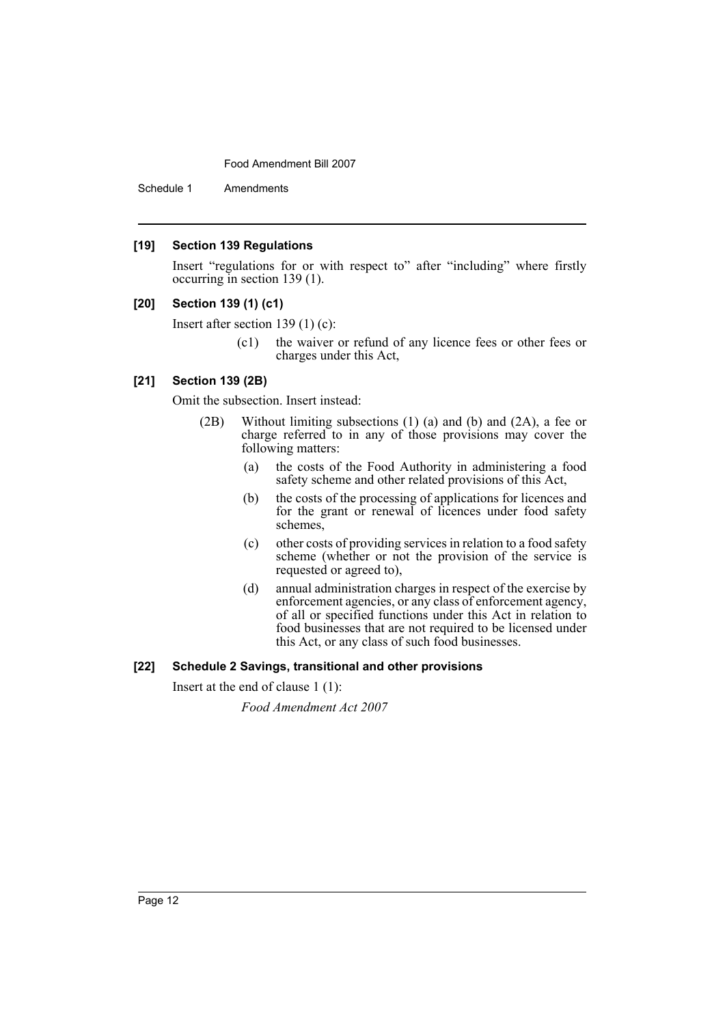Schedule 1 Amendments

#### **[19] Section 139 Regulations**

Insert "regulations for or with respect to" after "including" where firstly occurring in section 139 (1).

#### **[20] Section 139 (1) (c1)**

Insert after section 139 (1) (c):

(c1) the waiver or refund of any licence fees or other fees or charges under this Act,

# **[21] Section 139 (2B)**

Omit the subsection. Insert instead:

- (2B) Without limiting subsections (1) (a) and (b) and (2A), a fee or charge referred to in any of those provisions may cover the following matters:
	- (a) the costs of the Food Authority in administering a food safety scheme and other related provisions of this Act,
	- (b) the costs of the processing of applications for licences and for the grant or renewal of licences under food safety schemes,
	- (c) other costs of providing services in relation to a food safety scheme (whether or not the provision of the service is requested or agreed to),
	- (d) annual administration charges in respect of the exercise by enforcement agencies, or any class of enforcement agency, of all or specified functions under this Act in relation to food businesses that are not required to be licensed under this Act, or any class of such food businesses.

#### **[22] Schedule 2 Savings, transitional and other provisions**

Insert at the end of clause 1 (1):

*Food Amendment Act 2007*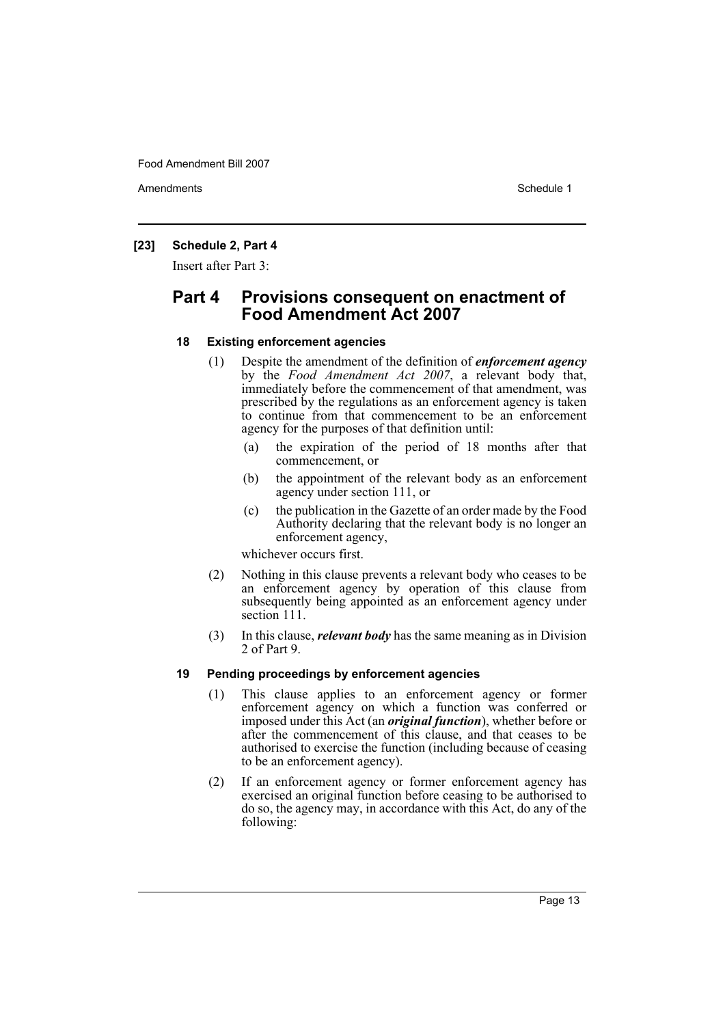Amendments **Amendments** Schedule 1

# **[23] Schedule 2, Part 4**

Insert after Part 3:

# **Part 4 Provisions consequent on enactment of Food Amendment Act 2007**

#### **18 Existing enforcement agencies**

- (1) Despite the amendment of the definition of *enforcement agency* by the *Food Amendment Act 2007*, a relevant body that, immediately before the commencement of that amendment, was prescribed by the regulations as an enforcement agency is taken to continue from that commencement to be an enforcement agency for the purposes of that definition until:
	- (a) the expiration of the period of 18 months after that commencement, or
	- (b) the appointment of the relevant body as an enforcement agency under section 111, or
	- (c) the publication in the Gazette of an order made by the Food Authority declaring that the relevant body is no longer an enforcement agency,

whichever occurs first.

- (2) Nothing in this clause prevents a relevant body who ceases to be an enforcement agency by operation of this clause from subsequently being appointed as an enforcement agency under section 111.
- (3) In this clause, *relevant body* has the same meaning as in Division 2 of Part 9.

# **19 Pending proceedings by enforcement agencies**

- (1) This clause applies to an enforcement agency or former enforcement agency on which a function was conferred or imposed under this Act (an *original function*), whether before or after the commencement of this clause, and that ceases to be authorised to exercise the function (including because of ceasing to be an enforcement agency).
- (2) If an enforcement agency or former enforcement agency has exercised an original function before ceasing to be authorised to do so, the agency may, in accordance with this Act, do any of the following: